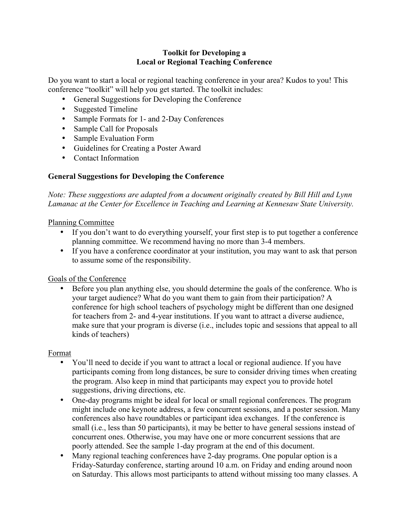### **Toolkit for Developing a Local or Regional Teaching Conference**

Do you want to start a local or regional teaching conference in your area? Kudos to you! This conference "toolkit" will help you get started. The toolkit includes:

- General Suggestions for Developing the Conference
- Suggested Timeline
- Sample Formats for 1- and 2-Day Conferences
- Sample Call for Proposals
- Sample Evaluation Form
- Guidelines for Creating a Poster Award
- Contact Information

## **General Suggestions for Developing the Conference**

*Note: These suggestions are adapted from a document originally created by Bill Hill and Lynn Lamanac at the Center for Excellence in Teaching and Learning at Kennesaw State University.*

### Planning Committee

- If you don't want to do everything yourself, your first step is to put together a conference planning committee. We recommend having no more than 3-4 members.
- If you have a conference coordinator at your institution, you may want to ask that person to assume some of the responsibility.

## Goals of the Conference

• Before you plan anything else, you should determine the goals of the conference. Who is your target audience? What do you want them to gain from their participation? A conference for high school teachers of psychology might be different than one designed for teachers from 2- and 4-year institutions. If you want to attract a diverse audience, make sure that your program is diverse (i.e., includes topic and sessions that appeal to all kinds of teachers)

#### Format

- You'll need to decide if you want to attract a local or regional audience. If you have participants coming from long distances, be sure to consider driving times when creating the program. Also keep in mind that participants may expect you to provide hotel suggestions, driving directions, etc.
- One-day programs might be ideal for local or small regional conferences. The program might include one keynote address, a few concurrent sessions, and a poster session. Many conferences also have roundtables or participant idea exchanges. If the conference is small (i.e., less than 50 participants), it may be better to have general sessions instead of concurrent ones. Otherwise, you may have one or more concurrent sessions that are poorly attended. See the sample 1-day program at the end of this document.
- Many regional teaching conferences have 2-day programs. One popular option is a Friday-Saturday conference, starting around 10 a.m. on Friday and ending around noon on Saturday. This allows most participants to attend without missing too many classes. A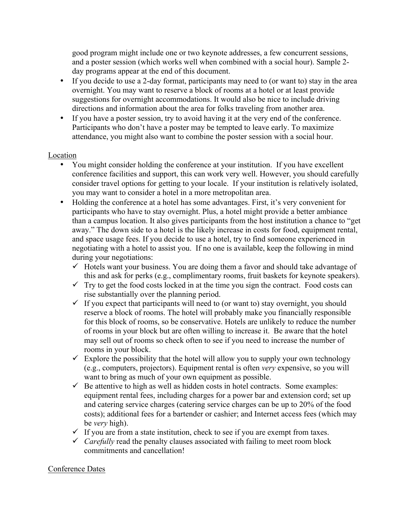good program might include one or two keynote addresses, a few concurrent sessions, and a poster session (which works well when combined with a social hour). Sample 2 day programs appear at the end of this document.

- If you decide to use a 2-day format, participants may need to (or want to) stay in the area overnight. You may want to reserve a block of rooms at a hotel or at least provide suggestions for overnight accommodations. It would also be nice to include driving directions and information about the area for folks traveling from another area.
- If you have a poster session, try to avoid having it at the very end of the conference. Participants who don't have a poster may be tempted to leave early. To maximize attendance, you might also want to combine the poster session with a social hour.

#### Location

- You might consider holding the conference at your institution. If you have excellent conference facilities and support, this can work very well. However, you should carefully consider travel options for getting to your locale. If your institution is relatively isolated, you may want to consider a hotel in a more metropolitan area.
- Holding the conference at a hotel has some advantages. First, it's very convenient for participants who have to stay overnight. Plus, a hotel might provide a better ambiance than a campus location. It also gives participants from the host institution a chance to "get away." The down side to a hotel is the likely increase in costs for food, equipment rental, and space usage fees. If you decide to use a hotel, try to find someone experienced in negotiating with a hotel to assist you. If no one is available, keep the following in mind during your negotiations:
	- $\checkmark$  Hotels want your business. You are doing them a favor and should take advantage of this and ask for perks (e.g., complimentary rooms, fruit baskets for keynote speakers).
	- $\checkmark$  Try to get the food costs locked in at the time you sign the contract. Food costs can rise substantially over the planning period.
	- $\checkmark$  If you expect that participants will need to (or want to) stay overnight, you should reserve a block of rooms. The hotel will probably make you financially responsible for this block of rooms, so be conservative. Hotels are unlikely to reduce the number of rooms in your block but are often willing to increase it. Be aware that the hotel may sell out of rooms so check often to see if you need to increase the number of rooms in your block.
	- $\checkmark$  Explore the possibility that the hotel will allow you to supply your own technology (e.g., computers, projectors). Equipment rental is often *very* expensive, so you will want to bring as much of your own equipment as possible.
	- $\checkmark$  Be attentive to high as well as hidden costs in hotel contracts. Some examples: equipment rental fees, including charges for a power bar and extension cord; set up and catering service charges (catering service charges can be up to 20% of the food costs); additional fees for a bartender or cashier; and Internet access fees (which may be *very* high).
	- $\checkmark$  If you are from a state institution, check to see if you are exempt from taxes.
	- $\checkmark$  *Carefully* read the penalty clauses associated with failing to meet room block commitments and cancellation!

#### Conference Dates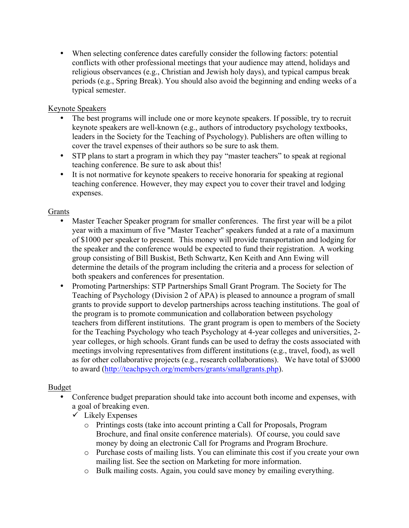• When selecting conference dates carefully consider the following factors: potential conflicts with other professional meetings that your audience may attend, holidays and religious observances (e.g., Christian and Jewish holy days), and typical campus break periods (e.g., Spring Break). You should also avoid the beginning and ending weeks of a typical semester.

## Keynote Speakers

- The best programs will include one or more keynote speakers. If possible, try to recruit keynote speakers are well-known (e.g., authors of introductory psychology textbooks, leaders in the Society for the Teaching of Psychology). Publishers are often willing to cover the travel expenses of their authors so be sure to ask them.
- STP plans to start a program in which they pay "master teachers" to speak at regional teaching conference. Be sure to ask about this!
- It is not normative for keynote speakers to receive honoraria for speaking at regional teaching conference. However, they may expect you to cover their travel and lodging expenses.

## Grants

- Master Teacher Speaker program for smaller conferences. The first year will be a pilot year with a maximum of five "Master Teacher" speakers funded at a rate of a maximum of \$1000 per speaker to present. This money will provide transportation and lodging for the speaker and the conference would be expected to fund their registration. A working group consisting of Bill Buskist, Beth Schwartz, Ken Keith and Ann Ewing will determine the details of the program including the criteria and a process for selection of both speakers and conferences for presentation.
- Promoting Partnerships: STP Partnerships Small Grant Program. The Society for The Teaching of Psychology (Division 2 of APA) is pleased to announce a program of small grants to provide support to develop partnerships across teaching institutions. The goal of the program is to promote communication and collaboration between psychology teachers from different institutions. The grant program is open to members of the Society for the Teaching Psychology who teach Psychology at 4-year colleges and universities, 2 year colleges, or high schools. Grant funds can be used to defray the costs associated with meetings involving representatives from different institutions (e.g., travel, food), as well as for other collaborative projects (e.g., research collaborations). We have total of \$3000 to award (http://teachpsych.org/members/grants/smallgrants.php).

## Budget

- Conference budget preparation should take into account both income and expenses, with a goal of breaking even.
	- $\checkmark$  Likely Expenses
		- o Printings costs (take into account printing a Call for Proposals, Program Brochure, and final onsite conference materials). Of course, you could save money by doing an electronic Call for Programs and Program Brochure.
		- o Purchase costs of mailing lists. You can eliminate this cost if you create your own mailing list. See the section on Marketing for more information.
		- o Bulk mailing costs. Again, you could save money by emailing everything.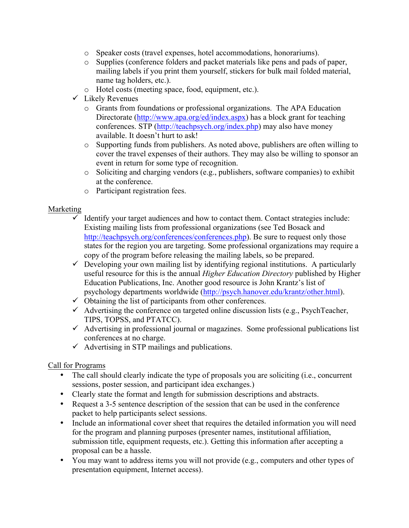- o Speaker costs (travel expenses, hotel accommodations, honorariums).
- o Supplies (conference folders and packet materials like pens and pads of paper, mailing labels if you print them yourself, stickers for bulk mail folded material, name tag holders, etc.).
- o Hotel costs (meeting space, food, equipment, etc.).
- $\checkmark$  Likely Revenues
	- o Grants from foundations or professional organizations. The APA Education Directorate (http://www.apa.org/ed/index.aspx) has a block grant for teaching conferences. STP (http://teachpsych.org/index.php) may also have money available. It doesn't hurt to ask!
	- o Supporting funds from publishers. As noted above, publishers are often willing to cover the travel expenses of their authors. They may also be willing to sponsor an event in return for some type of recognition.
	- o Soliciting and charging vendors (e.g., publishers, software companies) to exhibit at the conference.
	- o Participant registration fees.

## Marketing

- $\checkmark$  Identify your target audiences and how to contact them. Contact strategies include: Existing mailing lists from professional organizations (see Ted Bosack and http://teachpsych.org/conferences/conferences.php). Be sure to request only those states for the region you are targeting. Some professional organizations may require a copy of the program before releasing the mailing labels, so be prepared.
- $\checkmark$  Developing your own mailing list by identifying regional institutions. A particularly useful resource for this is the annual *Higher Education Directory* published by Higher Education Publications, Inc. Another good resource is John Krantz's list of psychology departments worldwide (http://psych.hanover.edu/krantz/other.html).
- $\checkmark$  Obtaining the list of participants from other conferences.
- $\checkmark$  Advertising the conference on targeted online discussion lists (e.g., PsychTeacher, TIPS, TOPSS, and PTATCC).
- $\checkmark$  Advertising in professional journal or magazines. Some professional publications list conferences at no charge.
- $\checkmark$  Advertising in STP mailings and publications.

## Call for Programs

- The call should clearly indicate the type of proposals you are soliciting (i.e., concurrent sessions, poster session, and participant idea exchanges.)
- Clearly state the format and length for submission descriptions and abstracts.
- Request a 3-5 sentence description of the session that can be used in the conference packet to help participants select sessions.
- Include an informational cover sheet that requires the detailed information you will need for the program and planning purposes (presenter names, institutional affiliation, submission title, equipment requests, etc.). Getting this information after accepting a proposal can be a hassle.
- You may want to address items you will not provide (e.g., computers and other types of presentation equipment, Internet access).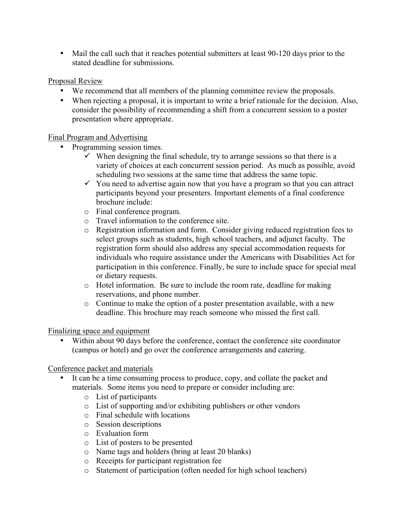• Mail the call such that it reaches potential submitters at least 90-120 days prior to the stated deadline for submissions.

## Proposal Review

- We recommend that all members of the planning committee review the proposals.
- When rejecting a proposal, it is important to write a brief rationale for the decision. Also, consider the possibility of recommending a shift from a concurrent session to a poster presentation where appropriate.

## Final Program and Advertising

- Programming session times.
	- $\checkmark$  When designing the final schedule, try to arrange sessions so that there is a variety of choices at each concurrent session period. As much as possible, avoid scheduling two sessions at the same time that address the same topic.
	- $\checkmark$  You need to advertise again now that you have a program so that you can attract participants beyond your presenters. Important elements of a final conference brochure include:
	- o Final conference program.
	- o Travel information to the conference site.
	- o Registration information and form. Consider giving reduced registration fees to select groups such as students, high school teachers, and adjunct faculty. The registration form should also address any special accommodation requests for individuals who require assistance under the Americans with Disabilities Act for participation in this conference. Finally, be sure to include space for special meal or dietary requests.
	- o Hotel information. Be sure to include the room rate, deadline for making reservations, and phone number.
	- o Continue to make the option of a poster presentation available, with a new deadline. This brochure may reach someone who missed the first call.

Finalizing space and equipment

• Within about 90 days before the conference, contact the conference site coordinator (campus or hotel) and go over the conference arrangements and catering.

# Conference packet and materials

- It can be a time consuming process to produce, copy, and collate the packet and materials. Some items you need to prepare or consider including are:
	- o List of participants
	- o List of supporting and/or exhibiting publishers or other vendors
	- o Final schedule with locations
	- o Session descriptions
	- o Evaluation form
	- o List of posters to be presented
	- o Name tags and holders (bring at least 20 blanks)
	- o Receipts for participant registration fee
	- o Statement of participation (often needed for high school teachers)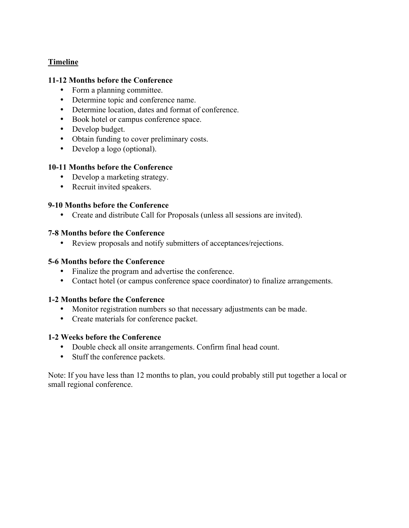## **Timeline**

#### **11-12 Months before the Conference**

- Form a planning committee.
- Determine topic and conference name.
- Determine location, dates and format of conference.
- Book hotel or campus conference space.
- Develop budget.
- Obtain funding to cover preliminary costs.
- Develop a logo (optional).

#### **10-11 Months before the Conference**

- Develop a marketing strategy.
- Recruit invited speakers.

#### **9-10 Months before the Conference**

• Create and distribute Call for Proposals (unless all sessions are invited).

#### **7-8 Months before the Conference**

• Review proposals and notify submitters of acceptances/rejections.

### **5-6 Months before the Conference**

- Finalize the program and advertise the conference.
- Contact hotel (or campus conference space coordinator) to finalize arrangements.

#### **1-2 Months before the Conference**

- Monitor registration numbers so that necessary adjustments can be made.
- Create materials for conference packet.

#### **1-2 Weeks before the Conference**

- Double check all onsite arrangements. Confirm final head count.
- Stuff the conference packets.

Note: If you have less than 12 months to plan, you could probably still put together a local or small regional conference.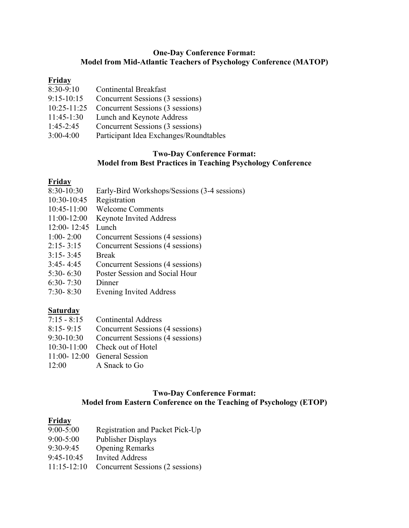#### **One-Day Conference Format: Model from Mid-Atlantic Teachers of Psychology Conference (MATOP)**

## **Friday**

- 8:30-9:10 Continental Breakfast
- 9:15-10:15 Concurrent Sessions (3 sessions)
- 10:25-11:25 Concurrent Sessions (3 sessions)
- 11:45-1:30 Lunch and Keynote Address
- 1:45-2:45 Concurrent Sessions (3 sessions)
- 3:00-4:00 Participant Idea Exchanges/Roundtables

## **Two-Day Conference Format: Model from Best Practices in Teaching Psychology Conference**

## **Friday**

- 8:30-10:30 Early-Bird Workshops/Sessions (3-4 sessions)
- 10:30-10:45 Registration
- 10:45-11:00 Welcome Comments
- 11:00-12:00 Keynote Invited Address
- 12:00- 12:45 Lunch
- 1:00- 2:00 Concurrent Sessions (4 sessions)
- 2:15- 3:15 Concurrent Sessions (4 sessions)
- 3:15- 3:45 Break
- 3:45- 4:45 Concurrent Sessions (4 sessions)
- 5:30- 6:30 Poster Session and Social Hour
- 6:30- 7:30 Dinner
- 7:30- 8:30 Evening Invited Address

# **Saturday**

- 7:15 8:15 Continental Address
- 8:15- 9:15 Concurrent Sessions (4 sessions)
- 9:30-10:30 Concurrent Sessions (4 sessions)
- 10:30-11:00 Check out of Hotel
- 11:00- 12:00 General Session
- 12:00 A Snack to Go

## **Two-Day Conference Format: Model from Eastern Conference on the Teaching of Psychology (ETOP)**

# **Friday**

- 9:00-5:00 Registration and Packet Pick-Up
- 9:00-5:00 Publisher Displays
- 9:30-9:45 Opening Remarks
- 9:45-10:45 Invited Address
- 11:15-12:10 Concurrent Sessions (2 sessions)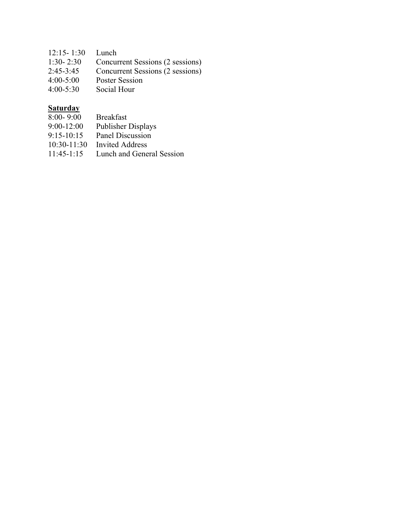| $12:15 - 1:30$ | Lunch                            |
|----------------|----------------------------------|
| $1:30 - 2:30$  | Concurrent Sessions (2 sessions) |
| $2:45 - 3:45$  | Concurrent Sessions (2 sessions) |
| $4:00 - 5:00$  | <b>Poster Session</b>            |
| $4:00 - 5:30$  | Social Hour                      |

## **Saturday**

- 8:00- 9:00 Breakfast
- 9:00-12:00 Publisher Displays
- 9:15-10:15 Panel Discussion
- 10:30-11:30 Invited Address<br>11:45-1:15 Lunch and Gene
- Lunch and General Session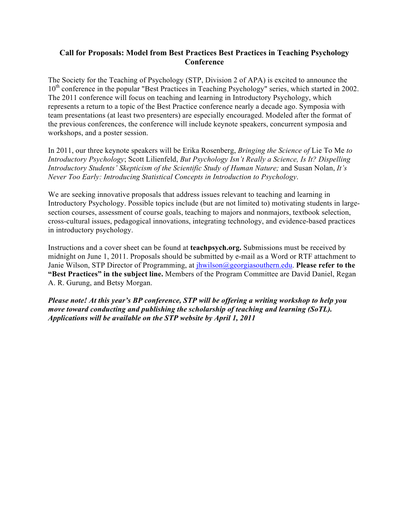#### **Call for Proposals: Model from Best Practices Best Practices in Teaching Psychology Conference**

The Society for the Teaching of Psychology (STP, Division 2 of APA) is excited to announce the 10<sup>th</sup> conference in the popular "Best Practices in Teaching Psychology" series, which started in 2002. The 2011 conference will focus on teaching and learning in Introductory Psychology, which represents a return to a topic of the Best Practice conference nearly a decade ago. Symposia with team presentations (at least two presenters) are especially encouraged. Modeled after the format of the previous conferences, the conference will include keynote speakers, concurrent symposia and workshops, and a poster session.

In 2011, our three keynote speakers will be Erika Rosenberg, *Bringing the Science of* Lie To Me *to Introductory Psychology*; Scott Lilienfeld, *But Psychology Isn't Really a Science, Is It? Dispelling Introductory Students' Skepticism of the Scientific Study of Human Nature;* and Susan Nolan, *It's Never Too Early: Introducing Statistical Concepts in Introduction to Psychology*.

We are seeking innovative proposals that address issues relevant to teaching and learning in Introductory Psychology. Possible topics include (but are not limited to) motivating students in largesection courses, assessment of course goals, teaching to majors and nonmajors, textbook selection, cross-cultural issues, pedagogical innovations, integrating technology, and evidence-based practices in introductory psychology.

Instructions and a cover sheet can be found at **teachpsych.org.** Submissions must be received by midnight on June 1, 2011. Proposals should be submitted by e-mail as a Word or RTF attachment to Janie Wilson, STP Director of Programming, at jhwilson@georgiasouthern.edu. **Please refer to the "Best Practices" in the subject line.** Members of the Program Committee are David Daniel, Regan A. R. Gurung, and Betsy Morgan.

*Please note! At this year's BP conference, STP will be offering a writing workshop to help you move toward conducting and publishing the scholarship of teaching and learning (SoTL). Applications will be available on the STP website by April 1, 2011*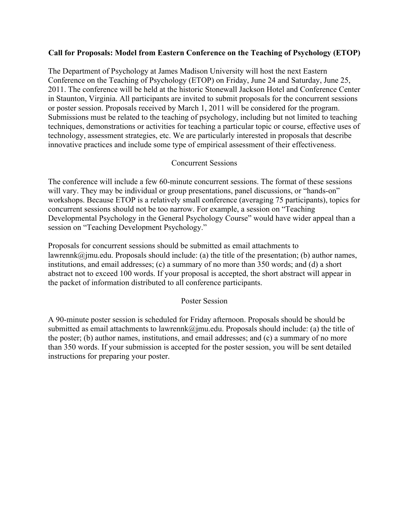## **Call for Proposals: Model from Eastern Conference on the Teaching of Psychology (ETOP)**

The Department of Psychology at James Madison University will host the next Eastern Conference on the Teaching of Psychology (ETOP) on Friday, June 24 and Saturday, June 25, 2011. The conference will be held at the historic Stonewall Jackson Hotel and Conference Center in Staunton, Virginia. All participants are invited to submit proposals for the concurrent sessions or poster session. Proposals received by March 1, 2011 will be considered for the program. Submissions must be related to the teaching of psychology, including but not limited to teaching techniques, demonstrations or activities for teaching a particular topic or course, effective uses of technology, assessment strategies, etc. We are particularly interested in proposals that describe innovative practices and include some type of empirical assessment of their effectiveness.

### Concurrent Sessions

The conference will include a few 60-minute concurrent sessions. The format of these sessions will vary. They may be individual or group presentations, panel discussions, or "hands-on" workshops. Because ETOP is a relatively small conference (averaging 75 participants), topics for concurrent sessions should not be too narrow. For example, a session on "Teaching Developmental Psychology in the General Psychology Course" would have wider appeal than a session on "Teaching Development Psychology."

Proposals for concurrent sessions should be submitted as email attachments to lawrennk $\omega$  imu.edu. Proposals should include: (a) the title of the presentation; (b) author names, institutions, and email addresses; (c) a summary of no more than 350 words; and (d) a short abstract not to exceed 100 words. If your proposal is accepted, the short abstract will appear in the packet of information distributed to all conference participants.

#### Poster Session

A 90-minute poster session is scheduled for Friday afternoon. Proposals should be should be submitted as email attachments to lawrennk@jmu.edu. Proposals should include: (a) the title of the poster; (b) author names, institutions, and email addresses; and (c) a summary of no more than 350 words. If your submission is accepted for the poster session, you will be sent detailed instructions for preparing your poster.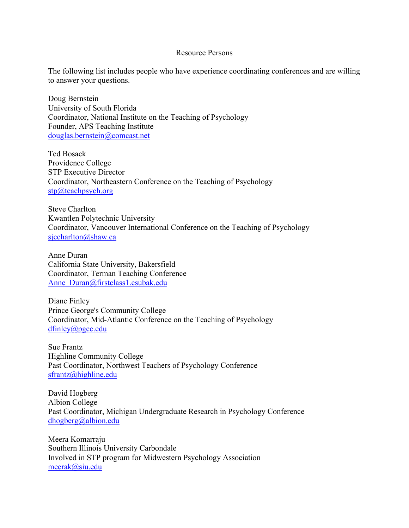#### Resource Persons

The following list includes people who have experience coordinating conferences and are willing to answer your questions.

Doug Bernstein University of South Florida Coordinator, National Institute on the Teaching of Psychology Founder, APS Teaching Institute douglas.bernstein@comcast.net

Ted Bosack Providence College STP Executive Director Coordinator, Northeastern Conference on the Teaching of Psychology  $stp@teachpsych.org$ 

Steve Charlton Kwantlen Polytechnic University Coordinator, Vancouver International Conference on the Teaching of Psychology sjccharlton@shaw.ca

Anne Duran California State University, Bakersfield Coordinator, Terman Teaching Conference Anne Duran@firstclass1.csubak.edu

Diane Finley Prince George's Community College Coordinator, Mid-Atlantic Conference on the Teaching of Psychology dfinley@pgcc.edu

Sue Frantz Highline Community College Past Coordinator, Northwest Teachers of Psychology Conference sfrantz@highline.edu

David Hogberg Albion College Past Coordinator, Michigan Undergraduate Research in Psychology Conference dhogberg@albion.edu

Meera Komarraju Southern Illinois University Carbondale Involved in STP program for Midwestern Psychology Association meerak@siu.edu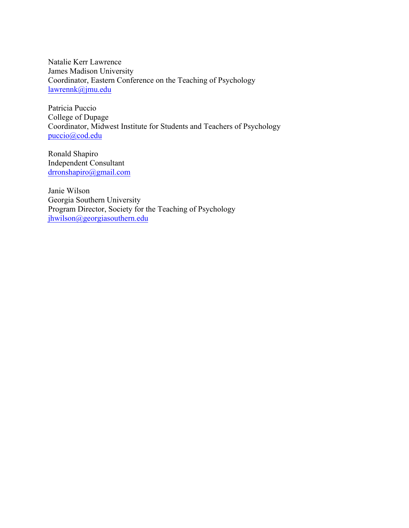Natalie Kerr Lawrence James Madison University Coordinator, Eastern Conference on the Teaching of Psychology lawrennk@jmu.edu

Patricia Puccio College of Dupage Coordinator, Midwest Institute for Students and Teachers of Psychology puccio@cod.edu

Ronald Shapiro Independent Consultant drronshapiro@gmail.com

Janie Wilson Georgia Southern University Program Director, Society for the Teaching of Psychology jhwilson@georgiasouthern.edu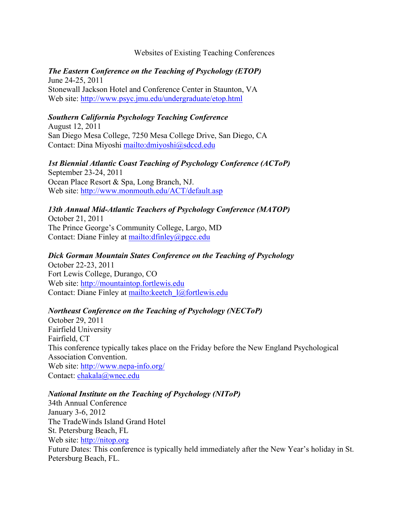### Websites of Existing Teaching Conferences

### *The Eastern Conference on the Teaching of Psychology (ETOP)* June 24-25, 2011

Stonewall Jackson Hotel and Conference Center in Staunton, VA Web site: http://www.psyc.jmu.edu/undergraduate/etop.html

## *Southern California Psychology Teaching Conference*

August 12, 2011 San Diego Mesa College, 7250 Mesa College Drive, San Diego, CA Contact: Dina Miyoshi mailto:dmiyoshi@sdccd.edu

*1st Biennial Atlantic Coast Teaching of Psychology Conference (ACToP)*  September 23-24, 2011 Ocean Place Resort & Spa, Long Branch, NJ. Web site: http://www.monmouth.edu/ACT/default.asp

## *13th Annual Mid-Atlantic Teachers of Psychology Conference (MATOP)*

October 21, 2011 The Prince George's Community College, Largo, MD Contact: Diane Finley at mailto:dfinley@pgcc.edu

### *Dick Gorman Mountain States Conference on the Teaching of Psychology*

October 22-23, 2011 Fort Lewis College, Durango, CO Web site: http://mountaintop.fortlewis.edu Contact: Diane Finley at mailto:keetch\_l@fortlewis.edu

## *Northeast Conference on the Teaching of Psychology (NECToP)*

October 29, 2011 Fairfield University Fairfield, CT This conference typically takes place on the Friday before the New England Psychological Association Convention. Web site: http://www.nepa-info.org/ Contact: chakala@wnec.edu

#### *National Institute on the Teaching of Psychology (NIToP)*

34th Annual Conference January 3-6, 2012 The TradeWinds Island Grand Hotel St. Petersburg Beach, FL Web site: http://nitop.org Future Dates: This conference is typically held immediately after the New Year's holiday in St. Petersburg Beach, FL.